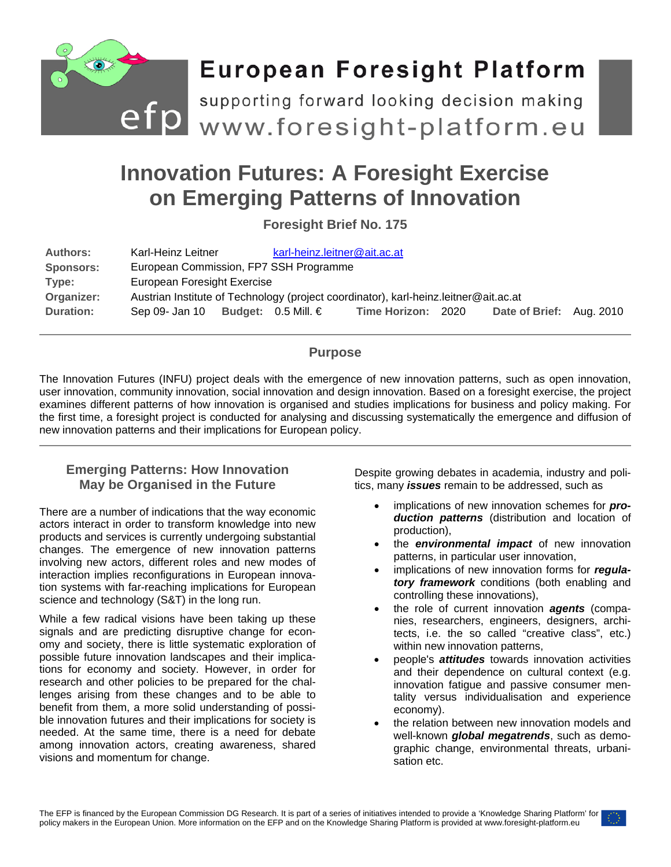

# **Innovation Futures: A Foresight Exercise on Emerging Patterns of Innovation**

**Foresight Brief No. 175**

| <b>Authors:</b><br><b>Sponsors:</b> | Karl-Heinz Leitner                                                                   |  | karl-heinz.leitner@ait.ac.at |                    |  |                          |  |
|-------------------------------------|--------------------------------------------------------------------------------------|--|------------------------------|--------------------|--|--------------------------|--|
| Type:                               | European Commission, FP7 SSH Programme<br>European Foresight Exercise                |  |                              |                    |  |                          |  |
| Organizer:                          | Austrian Institute of Technology (project coordinator), karl-heinz.leitner@ait.ac.at |  |                              |                    |  |                          |  |
| Duration:                           | Sep 09- Jan 10                                                                       |  | Budget: 0.5 Mill. €          | Time Horizon: 2020 |  | Date of Brief: Aug. 2010 |  |

# **Purpose**

The Innovation Futures (INFU) project deals with the emergence of new innovation patterns, such as open innovation, user innovation, community innovation, social innovation and design innovation. Based on a foresight exercise, the project examines different patterns of how innovation is organised and studies implications for business and policy making. For the first time, a foresight project is conducted for analysing and discussing systematically the emergence and diffusion of new innovation patterns and their implications for European policy.

# **Emerging Patterns: How Innovation May be Organised in the Future**

There are a number of indications that the way economic actors interact in order to transform knowledge into new products and services is currently undergoing substantial changes. The emergence of new innovation patterns involving new actors, different roles and new modes of interaction implies reconfigurations in European innovation systems with far-reaching implications for European science and technology (S&T) in the long run.

While a few radical visions have been taking up these signals and are predicting disruptive change for economy and society, there is little systematic exploration of possible future innovation landscapes and their implications for economy and society. However, in order for research and other policies to be prepared for the challenges arising from these changes and to be able to benefit from them, a more solid understanding of possible innovation futures and their implications for society is needed. At the same time, there is a need for debate among innovation actors, creating awareness, shared visions and momentum for change.

Despite growing debates in academia, industry and politics, many *issues* remain to be addressed, such as

- implications of new innovation schemes for **pro***duction patterns* (distribution and location of production),
- the *environmental impact* of new innovation patterns, in particular user innovation,
- implications of new innovation forms for *regulatory framework* conditions (both enabling and controlling these innovations),
- the role of current innovation *agents* (companies, researchers, engineers, designers, architects, i.e. the so called "creative class", etc.) within new innovation patterns,
- people's *attitudes* towards innovation activities and their dependence on cultural context (e.g. innovation fatigue and passive consumer mentality versus individualisation and experience economy).
- the relation between new innovation models and well-known *global megatrends*, such as demographic change, environmental threats, urbanisation etc.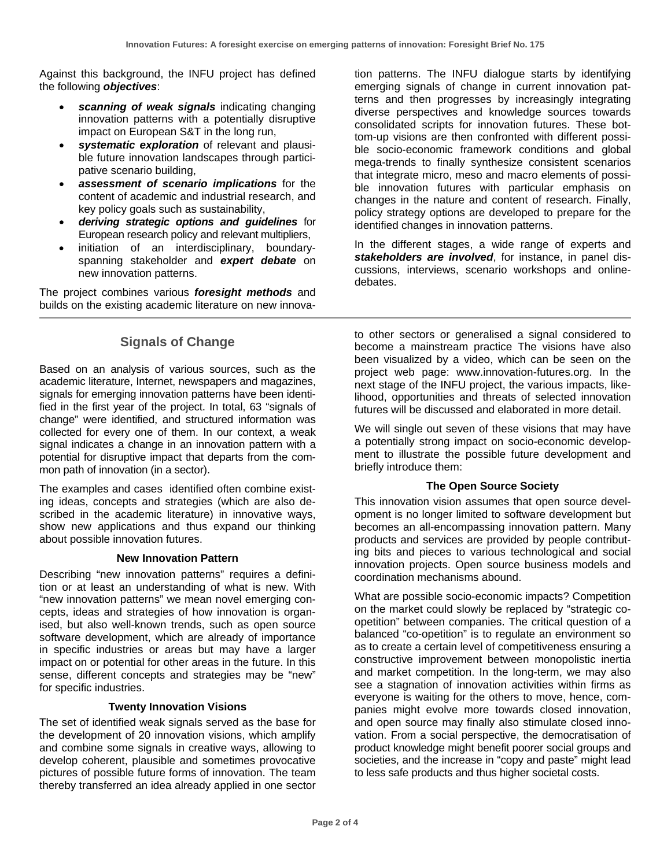Against this background, the INFU project has defined the following *objectives*:

- *scanning of weak signals* indicating changing innovation patterns with a potentially disruptive impact on European S&T in the long run,
- *systematic exploration* of relevant and plausible future innovation landscapes through participative scenario building,
- *assessment of scenario implications* for the content of academic and industrial research, and key policy goals such as sustainability,
- *deriving strategic options and guidelines* for European research policy and relevant multipliers,
- initiation of an interdisciplinary, boundaryspanning stakeholder and *expert debate* on new innovation patterns.

The project combines various *foresight methods* and builds on the existing academic literature on new innova-

# **Signals of Change**

Based on an analysis of various sources, such as the academic literature, Internet, newspapers and magazines, signals for emerging innovation patterns have been identified in the first year of the project. In total, 63 "signals of change" were identified, and structured information was collected for every one of them. In our context, a weak signal indicates a change in an innovation pattern with a potential for disruptive impact that departs from the common path of innovation (in a sector).

The examples and cases identified often combine existing ideas, concepts and strategies (which are also described in the academic literature) in innovative ways, show new applications and thus expand our thinking about possible innovation futures.

## **New Innovation Pattern**

Describing "new innovation patterns" requires a definition or at least an understanding of what is new. With "new innovation patterns" we mean novel emerging concepts, ideas and strategies of how innovation is organised, but also well-known trends, such as open source software development, which are already of importance in specific industries or areas but may have a larger impact on or potential for other areas in the future. In this sense, different concepts and strategies may be "new" for specific industries.

#### **Twenty Innovation Visions**

The set of identified weak signals served as the base for the development of 20 innovation visions, which amplify and combine some signals in creative ways, allowing to develop coherent, plausible and sometimes provocative pictures of possible future forms of innovation. The team thereby transferred an idea already applied in one sector

tion patterns. The INFU dialogue starts by identifying emerging signals of change in current innovation patterns and then progresses by increasingly integrating diverse perspectives and knowledge sources towards consolidated scripts for innovation futures. These bottom-up visions are then confronted with different possible socio-economic framework conditions and global mega-trends to finally synthesize consistent scenarios that integrate micro, meso and macro elements of possible innovation futures with particular emphasis on changes in the nature and content of research. Finally, policy strategy options are developed to prepare for the identified changes in innovation patterns.

In the different stages, a wide range of experts and *stakeholders are involved*, for instance, in panel discussions, interviews, scenario workshops and onlinedebates.

to other sectors or generalised a signal considered to become a mainstream practice The visions have also been visualized by a video, which can be seen on the project web page: [www.innovation-futures.org.](http://www.innovation-futures.org/) In the next stage of the INFU project, the various impacts, likelihood, opportunities and threats of selected innovation futures will be discussed and elaborated in more detail.

We will single out seven of these visions that may have a potentially strong impact on socio-economic development to illustrate the possible future development and briefly introduce them:

## **The Open Source Society**

This innovation vision assumes that open source development is no longer limited to software development but becomes an all-encompassing innovation pattern. Many products and services are provided by people contributing bits and pieces to various technological and social innovation projects. Open source business models and coordination mechanisms abound.

What are possible socio-economic impacts? Competition on the market could slowly be replaced by "strategic coopetition" between companies. The critical question of a balanced "co-opetition" is to regulate an environment so as to create a certain level of competitiveness ensuring a constructive improvement between monopolistic inertia and market competition. In the long-term, we may also see a stagnation of innovation activities within firms as everyone is waiting for the others to move, hence, companies might evolve more towards closed innovation, and open source may finally also stimulate closed innovation. From a social perspective, the democratisation of product knowledge might benefit poorer social groups and societies, and the increase in "copy and paste" might lead to less safe products and thus higher societal costs.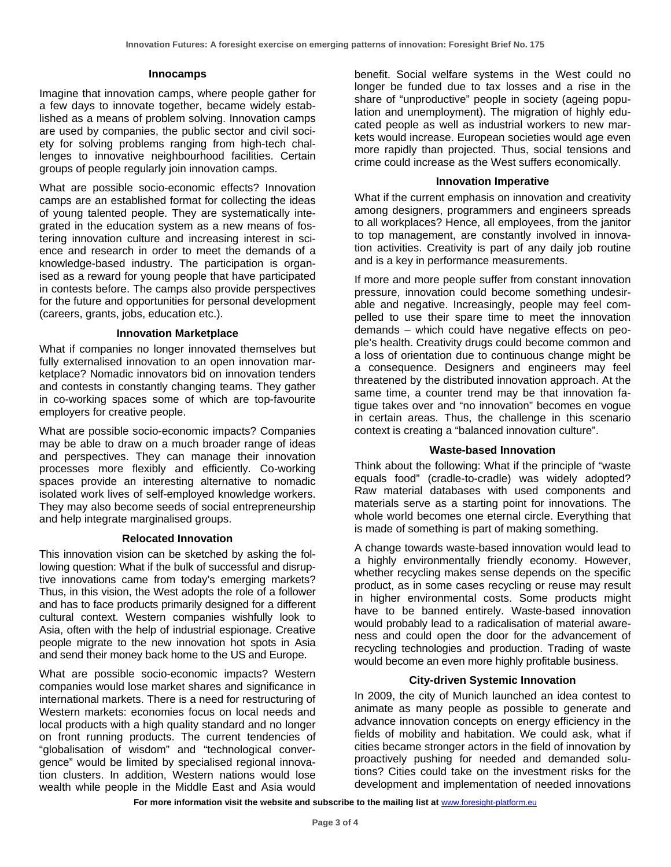#### **Innocamps**

Imagine that innovation camps, where people gather for a few days to innovate together, became widely established as a means of problem solving. Innovation camps are used by companies, the public sector and civil society for solving problems ranging from high-tech challenges to innovative neighbourhood facilities. Certain groups of people regularly join innovation camps.

What are possible socio-economic effects? Innovation camps are an established format for collecting the ideas of young talented people. They are systematically integrated in the education system as a new means of fostering innovation culture and increasing interest in science and research in order to meet the demands of a knowledge-based industry. The participation is organised as a reward for young people that have participated in contests before. The camps also provide perspectives for the future and opportunities for personal development (careers, grants, jobs, education etc.).

## **Innovation Marketplace**

What if companies no longer innovated themselves but fully externalised innovation to an open innovation marketplace? Nomadic innovators bid on innovation tenders and contests in constantly changing teams. They gather in co-working spaces some of which are top-favourite employers for creative people.

What are possible socio-economic impacts? Companies may be able to draw on a much broader range of ideas and perspectives. They can manage their innovation processes more flexibly and efficiently. Co-working spaces provide an interesting alternative to nomadic isolated work lives of self-employed knowledge workers. They may also become seeds of social entrepreneurship and help integrate marginalised groups.

## **Relocated Innovation**

This innovation vision can be sketched by asking the following question: What if the bulk of successful and disruptive innovations came from today's emerging markets? Thus, in this vision, the West adopts the role of a follower and has to face products primarily designed for a different cultural context. Western companies wishfully look to Asia, often with the help of industrial espionage. Creative people migrate to the new innovation hot spots in Asia and send their money back home to the US and Europe.

What are possible socio-economic impacts? Western companies would lose market shares and significance in international markets. There is a need for restructuring of Western markets: economies focus on local needs and local products with a high quality standard and no longer on front running products. The current tendencies of "globalisation of wisdom" and "technological convergence" would be limited by specialised regional innovation clusters. In addition, Western nations would lose wealth while people in the Middle East and Asia would

benefit. Social welfare systems in the West could no longer be funded due to tax losses and a rise in the share of "unproductive" people in society (ageing population and unemployment). The migration of highly educated people as well as industrial workers to new markets would increase. European societies would age even more rapidly than projected. Thus, social tensions and crime could increase as the West suffers economically.

#### **Innovation Imperative**

What if the current emphasis on innovation and creativity among designers, programmers and engineers spreads to all workplaces? Hence, all employees, from the janitor to top management, are constantly involved in innovation activities. Creativity is part of any daily job routine and is a key in performance measurements.

If more and more people suffer from constant innovation pressure, innovation could become something undesirable and negative. Increasingly, people may feel compelled to use their spare time to meet the innovation demands – which could have negative effects on people's health. Creativity drugs could become common and a loss of orientation due to continuous change might be a consequence. Designers and engineers may feel threatened by the distributed innovation approach. At the same time, a counter trend may be that innovation fatigue takes over and "no innovation" becomes en vogue in certain areas. Thus, the challenge in this scenario context is creating a "balanced innovation culture".

## **Waste-based Innovation**

Think about the following: What if the principle of "waste equals food" (cradle-to-cradle) was widely adopted? Raw material databases with used components and materials serve as a starting point for innovations. The whole world becomes one eternal circle. Everything that is made of something is part of making something.

A change towards waste-based innovation would lead to a highly environmentally friendly economy. However, whether recycling makes sense depends on the specific product, as in some cases recycling or reuse may result in higher environmental costs. Some products might have to be banned entirely. Waste-based innovation would probably lead to a radicalisation of material awareness and could open the door for the advancement of recycling technologies and production. Trading of waste would become an even more highly profitable business.

## **City-driven Systemic Innovation**

In 2009, the city of Munich launched an idea contest to animate as many people as possible to generate and advance innovation concepts on energy efficiency in the fields of mobility and habitation. We could ask, what if cities became stronger actors in the field of innovation by proactively pushing for needed and demanded solutions? Cities could take on the investment risks for the development and implementation of needed innovations

For more information visit the website and subscribe to the mailing list at www.foresight-platform.eu